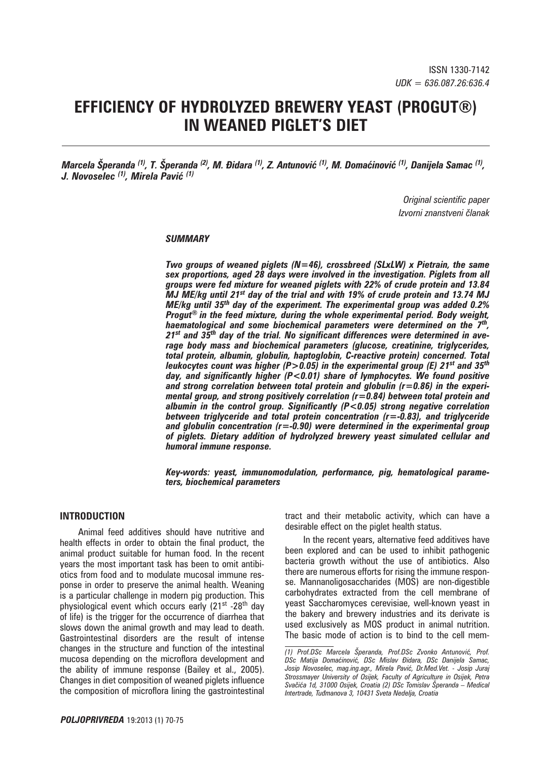# **EFFICIENCY OF HYDROLYZED BREWERY YEAST (PROGUT®) IN WEANED PIGLET'S DIET**

*Marcela Šperanda (1), T. Šperanda (2), M. Āidara (1), Z. Antunović (1), M. Domaćinović (1), Danijela Samac (1), J. Novoselec (1), Mirela Pavić (1)*

> *Original scientific paper Izvorni znanstveni članak*

#### *SUMMARY*

*Two groups of weaned piglets (N=46), crossbreed (SLxLW) x Pietrain, the same sex proportions, aged 28 days were involved in the investigation. Piglets from all groups were fed mixture for weaned piglets with 22% of crude protein and 13.84 MJ ME/kg until 21st day of the trial and with 19% of crude protein and 13.74 MJ ME/kg until 35th day of the experiment. The experimental group was added 0.2% Progut® in the feed mixture, during the whole experimental period. Body weight, haematological and some biochemical parameters were determined on the 7th, 21st and 35th day of the trial. No significant differences were determined in average body mass and biochemical parameters (glucose, creatinine, triglycerides, total protein, albumin, globulin, haptoglobin, C-reactive protein) concerned. Total leukocytes count was higher (P>0.05) in the experimental group (E) 21st and 35th day, and significantly higher (P<0.01) share of lymphocytes. We found positive and strong correlation between total protein and globulin (r=0.86) in the experimental group, and strong positively correlation (r=0.84) between total protein and albumin in the control group. Significantly (P<0.05) strong negative correlation between triglyceride and total protein concentration (r=-0.83), and triglyceride and globulin concentration (r=-0.90) were determined in the experimental group of piglets. Dietary addition of hydrolyzed brewery yeast simulated cellular and humoral immune response.*

*Key-words: yeast, immunomodulation, performance, pig, hematological parameters, biochemical parameters*

#### **INTRODUCTION**

Animal feed additives should have nutritive and health effects in order to obtain the final product, the animal product suitable for human food. In the recent years the most important task has been to omit antibiotics from food and to modulate mucosal immune response in order to preserve the animal health. Weaning is a particular challenge in modern pig production. This physiological event which occurs early (21<sup>st</sup> -28<sup>th</sup> day of life) is the trigger for the occurrence of diarrhea that slows down the animal growth and may lead to death. Gastrointestinal disorders are the result of intense changes in the structure and function of the intestinal mucosa depending on the microflora development and the ability of immune response (Bailey et al., 2005). Changes in diet composition of weaned piglets influence the composition of microflora lining the gastrointestinal

tract and their metabolic activity, which can have a desirable effect on the piglet health status.

In the recent years, alternative feed additives have been explored and can be used to inhibit pathogenic bacteria growth without the use of antibiotics. Also there are numerous efforts for rising the immune response. Mannanoligosaccharides (MOS) are non-digestible carbohydrates extracted from the cell membrane of yeast Saccharomyces cerevisiae, well-known yeast in the bakery and brewery industries and its derivate is used exclusively as MOS product in animal nutrition. The basic mode of action is to bind to the cell mem-

*<sup>(1)</sup> Prof.DSc Marcela Šperanda, Prof.DSc Zvonko Antunović, Prof. DSc Matija Domaćinović, DSc Mislav \idara, DSc Danijela Samac, Josip Novoselec, mag.ing.agr., Mirela Pavić, Dr.Med.Vet. - Josip Juraj Strossmayer University of Osijek, Faculty of Agriculture in Osijek, Petra Svačića 1d, 31000 Osijek, Croatia (2) DSc Tomislav Šperanda – Medical Intertrade, Tuđmanova 3, 10431 Sveta Nedelja, Croatia*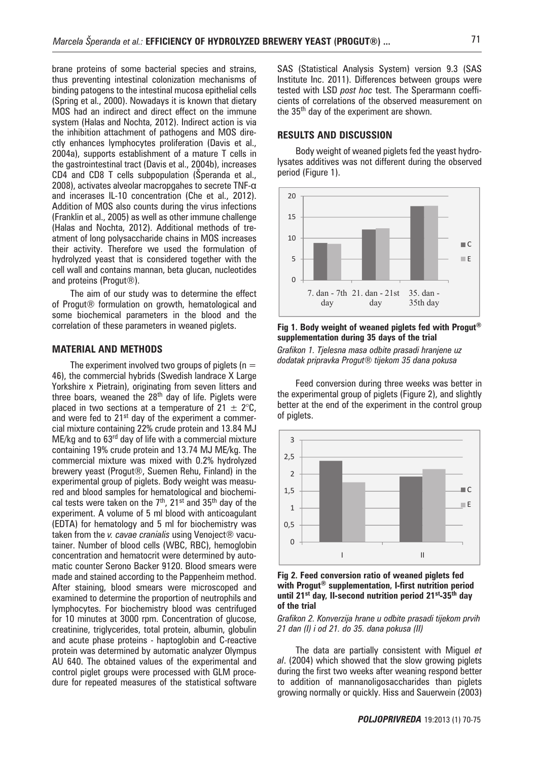brane proteins of some bacterial species and strains, thus preventing intestinal colonization mechanisms of binding patogens to the intestinal mucosa epithelial cells (Spring et al., 2000). Nowadays it is known that dietary MOS had an indirect and direct effect on the immune system (Halas and Nochta, 2012). Indirect action is via the inhibition attachment of pathogens and MOS directly enhances lymphocytes proliferation (Davis et al., 2004a), supports establishment of a mature T cells in the gastrointestinal tract (Davis et al., 2004b), increases CD4 and CD8 T cells subpopulation (Šperanda et al., 2008), activates alveolar macropgahes to secrete TNF-α and incerases IL-10 concentration (Che et al., 2012). Addition of MOS also counts during the virus infections (Franklin et al., 2005) as well as other immune challenge (Halas and Nochta, 2012). Additional methods of treatment of long polysaccharide chains in MOS increases their activity. Therefore we used the formulation of hydrolyzed yeast that is considered together with the cell wall and contains mannan, beta glucan, nucleotides and proteins (Progut®).

The aim of our study was to determine the effect of Progut® formulation on growth, hematological and some biochemical parameters in the blood and the correlation of these parameters in weaned piglets.

#### **MATERIAL AND METHODS**

The experiment involved two groups of piglets ( $n =$ 46), the commercial hybrids (Swedish landrace X Large Yorkshire x Pietrain), originating from seven litters and three boars, weaned the 28<sup>th</sup> day of life. Piglets were placed in two sections at a temperature of  $21 \pm 2^{\circ}$ C, and were fed to 21<sup>st</sup> day of the experiment a commercial mixture containing 22% crude protein and 13.84 MJ ME/kg and to 63<sup>rd</sup> day of life with a commercial mixture containing 19% crude protein and 13.74 MJ ME/kg. The commercial mixture was mixed with 0.2% hydrolyzed brewery yeast (Progut®, Suemen Rehu, Finland) in the experimental group of piglets. Body weight was measured and blood samples for hematological and biochemical tests were taken on the  $7<sup>th</sup>$ , 21<sup>st</sup> and 35<sup>th</sup> day of the experiment. A volume of 5 ml blood with anticoagulant (EDTA) for hematology and 5 ml for biochemistry was taken from the *v. cavae cranialis* using Venoject® vacutainer. Number of blood cells (WBC, RBC), hemoglobin concentration and hematocrit were determined by automatic counter Serono Backer 9120. Blood smears were made and stained according to the Pappenheim method. After staining, blood smears were microscoped and examined to determine the proportion of neutrophils and lymphocytes. For biochemistry blood was centrifuged for 10 minutes at 3000 rpm. Concentration of glucose, creatinine, triglycerides, total protein, albumin, globulin and acute phase proteins - haptoglobin and C-reactive protein was determined by automatic analyzer Olympus AU 640. The obtained values of the experimental and control piglet groups were processed with GLM procedure for repeated measures of the statistical software SAS (Statistical Analysis System) version 9.3 (SAS Institute Inc. 2011). Differences between groups were tested with LSD *post hoc* test. The Sperarmann coefficients of correlations of the observed measurement on the 35<sup>th</sup> day of the experiment are shown. triglycerides, total protein, albumin, globulin and acute phase proteins  $\frac{1}{2}$ 

#### **RESULTS AND DISCUSSION RESULTS AND DISCUSSION**

Body weight of weaned piglets fed the yeast hydrolysates additives was not different during the observed period (Figure 1).



**Fig 1. Body weight of weaned piglets fed with Progut® supplementation during 35 days of the trial** 

*Grafikon 1. Tjelesna masa odbite prasadi hranjene uz dodatak pripravka Progut® tijekom 35 dana pokusa*

Feed conversion during three weeks was better in the experimental group of piglets (Figure 2), and slightly better at the end of the experiment in the control group of piglets. Slightly better at the end of the end of the end of the experiment in the control group of  $\alpha$ 



**Fig 2. Feed conversion ratio of weaned piglets fed with Progut® supplementation, I-first nutrition period with Progut® supplementation, I-first nutrition period until 21st day, II-second nutrition period 21st-35thday of the trial**  *Grafikon 2. Konverzija hrane u odbite prasadi tijekom prvih 21 dan (I) i od 21. do 35. dana pokusa (II)*  **until 21st day, II-second nutrition period 21st-35th day Fig 2. Feed conversion ratio of weaned piglets fed of the trial**

Grafikon 2. Konverzija hrane u odbite prasadi tijekom prvih during the first two weeks after weaning respond better to addition of mannanoligosaccharides than *21 dan (I) i od 21. do 35. dana pokusa (II)*

The data are partially consistent with Miguel *et* al. (2004) which showed that the slow growing piglets during the first two weeks after weaning respond better to addition of mannanoligosaccharides than piglets growing normally or quickly. Hiss and Sauerwein (2003)

microscoped and examined to determine the proportion of neutrophils and lymphocytes. For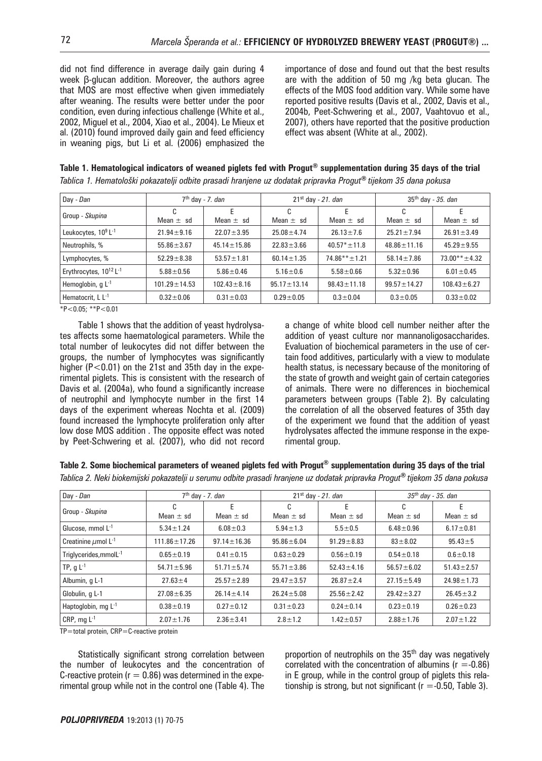did not find difference in average daily gain during 4 week β-glucan addition. Moreover, the authors agree that MOS are most effective when given immediately after weaning. The results were better under the poor condition, even during infectious challenge (White et al., 2002, Miguel et al., 2004, Xiao et al., 2004). Le Mieux et al. (2010) found improved daily gain and feed efficiency in weaning pigs, but Li et al. (2006) emphasized the importance of dose and found out that the best results are with the addition of 50 mg /kg beta glucan. The effects of the MOS food addition vary. While some have reported positive results (Davis et al., 2002, Davis et al., 2004b, Peet-Schwering et al., 2007, Vaahtovuo et al., 2007), others have reported that the positive production effect was absent (White at al., 2002).

| Table 1. Hematological indicators of weaned piglets fed with Progut® supplementation during 35 days of the trial |  |
|------------------------------------------------------------------------------------------------------------------|--|
| Tablica 1. Hematološki pokazatelji odbite prasadi hranjene uz dodatak pripravka Progut® tijekom 35 dana pokusa   |  |

| Day - Dan                                      |                    | 7 <sup>th</sup> day - 7. <i>dan</i> |                    | $21st$ day - 21. dan | $35th$ day - 35. dan |                    |  |
|------------------------------------------------|--------------------|-------------------------------------|--------------------|----------------------|----------------------|--------------------|--|
| Group - Skupina                                | C<br>Mean $\pm$ sd | F<br>Mean $\pm$ sd                  | C<br>Mean $\pm$ sd | F<br>Mean $\pm$ sd   | C<br>Mean $\pm$ sd   | E<br>Mean $\pm$ sd |  |
| Leukocytes, 10 <sup>9</sup> L <sup>-1</sup>    | $21.94 \pm 9.16$   | $22.07 \pm 3.95$                    | $25.08 \pm 4.74$   | $26.13 \pm 7.6$      | $25.21 \pm 7.94$     | $26.91 \pm 3.49$   |  |
| Neutrophils, %                                 | $55.86 \pm 3.67$   | $45.14 \pm 15.86$                   | $22.83 \pm 3.66$   | $40.57* + 11.8$      | $48.86 + 11.16$      | $45.29 \pm 9.55$   |  |
| Lymphocytes, %                                 | $52.29 \pm 8.38$   | $53.57 \pm 1.81$                    | $60.14 \pm 1.35$   | $74.86***+1.21$      | $58.14 \pm 7.86$     | $73.00** + 4.32$   |  |
| Erythrocytes, 10 <sup>12</sup> L <sup>-1</sup> | $5.88 \pm 0.56$    | $5.86 \pm 0.46$                     | $5.16 \pm 0.6$     | $5.58 \pm 0.66$      | $5.32 \pm 0.96$      | $6.01 \pm 0.45$    |  |
| Hemoglobin, $qL^{-1}$                          | $101.29 \pm 14.53$ | $102.43 \pm 8.16$                   | $95.17 \pm 13.14$  | $98.43 \pm 11.18$    | $99.57 \pm 14.27$    | $108.43 \pm 6.27$  |  |
| Hematocrit, L L <sup>-1</sup>                  | $0.32 \pm 0.06$    | $0.31 \pm 0.03$                     | $0.29 + 0.05$      | $0.3 \pm 0.04$       | $0.3 + 0.05$         | $0.33 \pm 0.02$    |  |

\*P<0.05; \*\*P<0.01

Table 1 shows that the addition of yeast hydrolysates affects some haematological parameters. While the total number of leukocytes did not differ between the groups, the number of lymphocytes was significantly higher ( $P < 0.01$ ) on the 21st and 35th day in the experimental piglets. This is consistent with the research of Davis et al. (2004a), who found a significantly increase of neutrophil and lymphocyte number in the first 14 days of the experiment whereas Nochta et al. (2009) found increased the lymphocyte proliferation only after low dose MOS addition . The opposite effect was noted by Peet-Schwering et al. (2007), who did not record a change of white blood cell number neither after the addition of yeast culture nor mannanoligosaccharides. Evaluation of biochemical parameters in the use of certain food additives, particularly with a view to modulate health status, is necessary because of the monitoring of the state of growth and weight gain of certain categories of animals. There were no differences in biochemical parameters between groups (Table 2). By calculating the correlation of all the observed features of 35th day of the experiment we found that the addition of yeast hydrolysates affected the immune response in the experimental group.

### **Table 2. Some biochemical parameters of weaned piglets fed with Progut® supplementation during 35 days of the trial**

*Tablica 2. Neki biokemijski pokazatelji u serumu odbite prasadi hranjene uz dodatak pripravka Progut***®** *tijekom 35 dana pokusa*

| Day - Dan                            |                    | $7th$ day - 7. dan |                                      | $21st$ day - 21. dan | $35^{th}$ day - 35. dan |                  |  |
|--------------------------------------|--------------------|--------------------|--------------------------------------|----------------------|-------------------------|------------------|--|
| Group - Skupina                      | $\sim$<br>U        | E                  | C                                    | F                    | C                       | F.               |  |
|                                      | Mean $\pm$ sd      | Mean $\pm$ sd      | Mean $\pm$ sd                        | Mean $\pm$ sd        | Mean $\pm$ sd           | Mean $\pm$ sd    |  |
| Glucose, mmol $L^{-1}$               | $5.34 \pm 1.24$    | $6.08 + 0.3$       | $5.94 \pm 1.3$<br>$5.5 \pm 0.5$      |                      | $6.48 \pm 0.96$         | $6.17 \pm 0.81$  |  |
| Creatinine $\mu$ mol L <sup>-1</sup> | $111.86 \pm 17.26$ | $97.14 \pm 16.36$  | $95.86 \pm 6.04$                     | $91.29 \pm 8.83$     | $83 + 8.02$             | $95.43 \pm 5$    |  |
| Triglycerides, mmolL-1               | $0.65 \pm 0.19$    | $0.41 \pm 0.15$    | $0.63 \pm 0.29$                      | $0.56 + 0.19$        | $0.54 \pm 0.18$         | $0.6 + 0.18$     |  |
| TP, $g L^{-1}$                       | $54.71 \pm 5.96$   | $51.71 \pm 5.74$   | $55.71 \pm 3.86$                     | $52.43 \pm 4.16$     | $56.57 \pm 6.02$        | $51.43 \pm 2.57$ |  |
| Albumin, q L-1                       | $27.63 \pm 4$      | $25.57 \pm 2.89$   | $29.47 \pm 3.57$                     | $26.87 \pm 2.4$      | $27.15 \pm 5.49$        | $24.98 \pm 1.73$ |  |
| Globulin, q L-1                      | $27.08 \pm 6.35$   | $26.14 \pm 4.14$   | $25.56 \pm 2.42$<br>$26.24 \pm 5.08$ |                      | $29.42 \pm 3.27$        | $26.45 \pm 3.2$  |  |
| Haptoglobin, mg $L^{-1}$             | $0.38 \pm 0.19$    | $0.27 \pm 0.12$    | $0.31 \pm 0.23$                      | $0.24 \pm 0.14$      |                         | $0.26 \pm 0.23$  |  |
| CRP, mg $L^{-1}$                     | $2.07 \pm 1.76$    | $2.36 \pm 3.41$    | $2.8 \pm 1.2$                        | $1.42 \pm 0.57$      | $2.88 \pm 1.76$         | $2.07 \pm 1.22$  |  |

TP=total protein, CRP=C-reactive protein

Statistically significant strong correlation between the number of leukocytes and the concentration of C-reactive protein ( $r = 0.86$ ) was determined in the experimental group while not in the control one (Table 4). The proportion of neutrophils on the 35<sup>th</sup> day was negatively correlated with the concentration of albumins ( $r = -0.86$ ) in E group, while in the control group of piglets this relationship is strong, but not significant ( $r = -0.50$ , Table 3).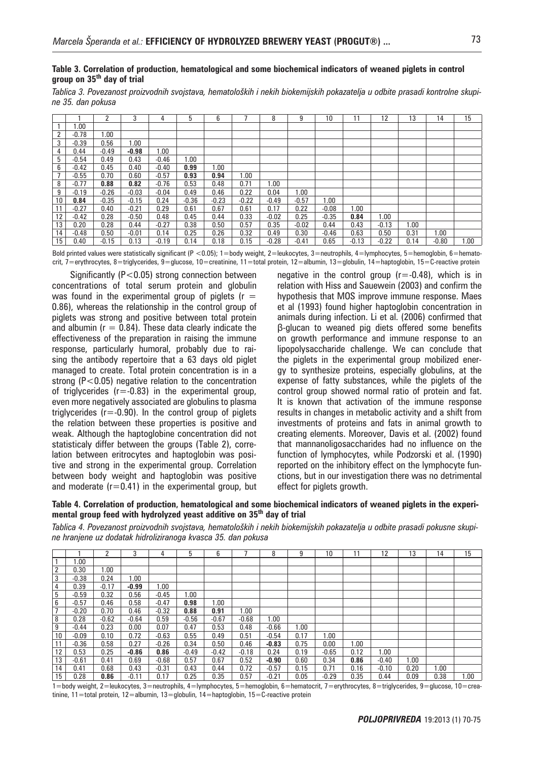*Tablica 3. Povezanost proizvodnih svojstava, hematoloških i nekih biokemijskih pokazatelja u odbite prasadi kontrolne skupine 35. dan pokusa*

|    |         | 2       | 3       | 4       | 5       | 6       |         | 8       | 9       | 10      | 1       | 12      | 13   | 14      | 15   |
|----|---------|---------|---------|---------|---------|---------|---------|---------|---------|---------|---------|---------|------|---------|------|
|    | 00.1    |         |         |         |         |         |         |         |         |         |         |         |      |         |      |
| 2  | $-0.78$ | 1.00    |         |         |         |         |         |         |         |         |         |         |      |         |      |
| 3  | $-0.39$ | 0.56    | 1.00    |         |         |         |         |         |         |         |         |         |      |         |      |
| 4  | 0.44    | $-0.49$ | $-0.98$ | 00.1    |         |         |         |         |         |         |         |         |      |         |      |
| 5  | $-0.54$ | 0.49    | 0.43    | $-0.46$ | 1.00    |         |         |         |         |         |         |         |      |         |      |
| 6  | $-0.42$ | 0.45    | 0.40    | $-0.40$ | 0.99    | .00     |         |         |         |         |         |         |      |         |      |
|    | $-0.55$ | 0.70    | 0.60    | $-0.57$ | 0.93    | 0.94    | 1.00    |         |         |         |         |         |      |         |      |
| 8  | $-0.77$ | 0.88    | 0.82    | $-0.76$ | 0.53    | 0.48    | 0.71    | 1.00    |         |         |         |         |      |         |      |
| 9  | $-0.19$ | $-0.26$ | $-0.03$ | $-0.04$ | 0.49    | 0.46    | 0.22    | 0.04    | 00.1    |         |         |         |      |         |      |
| 10 | 0.84    | $-0.35$ | $-0.15$ | 0.24    | $-0.36$ | $-0.23$ | $-0.22$ | $-0.49$ | $-0.57$ | 00. ا   |         |         |      |         |      |
| 11 | $-0.27$ | 0.40    | $-0.21$ | 0.29    | 0.61    | 0.67    | 0.61    | 0.17    | 0.22    | $-0.08$ | 1.00    |         |      |         |      |
| 12 | $-0.42$ | 0.28    | $-0.50$ | 0.48    | 0.45    | 0.44    | 0.33    | $-0.02$ | 0.25    | $-0.35$ | 0.84    | 1.00    |      |         |      |
| 13 | 0.20    | 0.28    | 0.44    | $-0.27$ | 0.38    | 0.50    | 0.57    | 0.35    | $-0.02$ | 0.44    | 0.43    | $-0.13$ | 1.00 |         |      |
| 14 | $-0.48$ | 0.50    | $-0.01$ | 0.14    | 0.25    | 0.26    | 0.32    | 0.49    | 0.30    | $-0.46$ | 0.63    | 0.50    | 0.31 | 00. I   |      |
| 15 | 0.40    | $-0.15$ | 0.13    | $-0.19$ | 0.14    | 0.18    | 0.15    | $-0.28$ | $-0.41$ | 0.65    | $-0.13$ | $-0.22$ | 0.14 | $-0.80$ | 1.00 |

Bold printed values were statistically significant (P <0.05); 1=body weight, 2=leukocytes, 3=neutrophils, 4=lymphocytes, 5=hemoglobin, 6=hematocrit, 7=erythrocytes, 8=triglycerides, 9=glucose, 10=creatinine, 11=total protein, 12=albumin, 13=globulin, 14=haptoglobin, 15=C-reactive protein

Significantly ( $P < 0.05$ ) strong connection between concentrations of total serum protein and globulin was found in the experimental group of piglets  $(r =$ 0.86), whereas the relationship in the control group of piglets was strong and positive between total protein and albumin ( $r = 0.84$ ). These data clearly indicate the effectiveness of the preparation in raising the immune response, particularly humoral, probably due to raising the antibody repertoire that a 63 days old piglet managed to create. Total protein concentration is in a strong (P<0.05) negative relation to the concentration of triglycerides ( $r = -0.83$ ) in the experimental group, even more negatively associated are globulins to plasma triglycerides ( $r = -0.90$ ). In the control group of piglets the relation between these properties is positive and weak. Although the haptoglobine concentration did not statisticaly differ between the groups (Table 2), correlation between eritrocytes and haptoglobin was positive and strong in the experimental group. Correlation between body weight and haptoglobin was positive and moderate  $(r=0.41)$  in the experimental group, but

negative in the control group  $(r=-0.48)$ , which is in relation with Hiss and Sauewein (2003) and confirm the hypothesis that MOS improve immune response. Maes et al (1993) found higher haptoglobin concentration in animals during infection. Li et al. (2006) confirmed that β-glucan to weaned pig diets offered some benefits on growth performance and immune response to an lipopolysaccharide challenge. We can conclude that the piglets in the experimental group mobilized energy to synthesize proteins, especially globulins, at the expense of fatty substances, while the piglets of the control group showed normal ratio of protein and fat. It is known that activation of the immune response results in changes in metabolic activity and a shift from investments of proteins and fats in animal growth to creating elements. Moreover, Davis et al. (2002) found that mannanoligosaccharides had no influence on the function of lymphocytes, while Podzorski et al. (1990) reported on the inhibitory effect on the lymphocyte functions, but in our investigation there was no detrimental effect for piglets growth.

**Table 4. Correlation of production, hematological and some biochemical indicators of weaned piglets in the experimental group feed with hydrolyzed yeast additive on 35th day of trial** 

*Tablica 4. Povezanost proizvodnih svojstava, hematoloških i nekih biokemijskih pokazatelja u odbite prasadi pokusne skupine hranjene uz dodatak hidroliziranoga kvasca 35. dan pokusa*

|    |         | ີ       | 3       | 4       | 5       | 6       |         | 8       | 9    | 10      |      | 12      | 13   | 14   | 15   |
|----|---------|---------|---------|---------|---------|---------|---------|---------|------|---------|------|---------|------|------|------|
|    | .00     |         |         |         |         |         |         |         |      |         |      |         |      |      |      |
| 2  | 0.30    | 00. I   |         |         |         |         |         |         |      |         |      |         |      |      |      |
| 3  | $-0.38$ | 0.24    | 1.00    |         |         |         |         |         |      |         |      |         |      |      |      |
| 4  | 0.39    | $-0.17$ | $-0.99$ | 00. ا   |         |         |         |         |      |         |      |         |      |      |      |
| 5  | $-0.59$ | 0.32    | 0.56    | $-0.45$ | .00.    |         |         |         |      |         |      |         |      |      |      |
| 6  | $-0.57$ | 0.46    | 0.58    | $-0.47$ | 0.98    | 1.00    |         |         |      |         |      |         |      |      |      |
| 7  | $-0.20$ | 0.70    | 0.46    | $-0.32$ | 0.88    | 0.91    | 00. ا   |         |      |         |      |         |      |      |      |
| 8  | 0.28    | $-0.62$ | $-0.64$ | 0.59    | $-0.56$ | $-0.67$ | $-0.68$ | 1.00    |      |         |      |         |      |      |      |
| 9  | $-0.44$ | 0.23    | 0.00    | 0.07    | 0.47    | 0.53    | 0.48    | $-0.66$ | 1.00 |         |      |         |      |      |      |
| 10 | $-0.09$ | 0.10    | 0.72    | $-0.63$ | 0.55    | 0.49    | 0.51    | $-0.54$ | 0.17 | 1.00    |      |         |      |      |      |
| 11 | $-0.36$ | 0.58    | 0.27    | $-0.26$ | 0.34    | 0.50    | 0.46    | $-0.83$ | 0.75 | 0.00    | 00.1 |         |      |      |      |
| 12 | 0.53    | 0.25    | $-0.86$ | 0.86    | $-0.49$ | $-0.42$ | $-0.18$ | 0.24    | 0.19 | $-0.65$ | 0.12 | 1.00    |      |      |      |
| 13 | $-0.61$ | 0.41    | 0.69    | $-0.68$ | 0.57    | 0.67    | 0.52    | $-0.90$ | 0.60 | 0.34    | 0.86 | $-0.40$ | 1.00 |      |      |
| 14 | 0.41    | 0.68    | 0.43    | $-0.31$ | 0.43    | 0.44    | 0.72    | $-0.57$ | 0.15 | 0.71    | 0.16 | $-0.10$ | 0.20 | 1.00 |      |
| 15 | 0.28    | 0.86    | $-0.11$ | 0.17    | 0.25    | 0.35    | 0.57    | $-0.21$ | 0.05 | $-0.29$ | 0.35 | 0.44    | 0.09 | 0.38 | 1.00 |

1=body weight, 2=leukocytes, 3=neutrophils, 4=lymphocytes, 5=hemoglobin, 6=hematocrit, 7=erythrocytes, 8=triglycerides, 9=glucose, 10=creatinine, 11=total protein, 12=albumin, 13=globulin, 14=haptoglobin, 15=C-reactive protein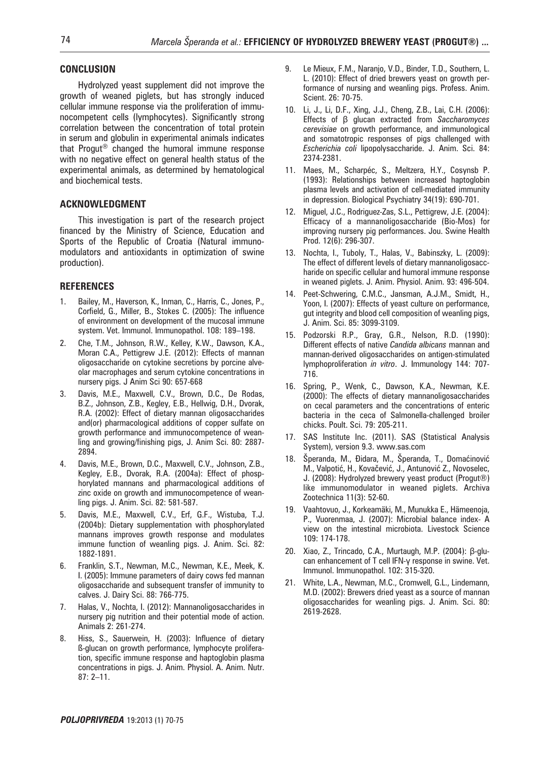#### **CONCLUSION**

Hydrolyzed yeast supplement did not improve the growth of weaned piglets, but has strongly induced cellular immune response via the proliferation of immunocompetent cells (lymphocytes). Significantly strong correlation between the concentration of total protein in serum and globulin in experimental animals indicates that Progut® changed the humoral immune response with no negative effect on general health status of the experimental animals, as determined by hematological and biochemical tests.

#### **ACknowledGment**

This investigation is part of the research project financed by the Ministry of Science, Education and Sports of the Republic of Croatia (Natural immunomodulators and antioxidants in optimization of swine production).

#### **REFERENCES**

- Bailey, M., Haverson, K., Inman, C., Harris, C., Jones, P., Corfield, G., Miller, B., Stokes C. (2005): The influence of environment on development of the mucosal immune system. Vet. Immunol. Immunopathol. 108: 189–198.
- 2. Che, T.M., Johnson, R.W., Kelley, K.W., Dawson, K.A., Moran C.A., Pettigrew J.E. (2012): Effects of mannan oligosaccharide on cytokine secretions by porcine alveolar macrophages and serum cytokine concentrations in nursery pigs. J Anim Sci 90: 657-668
- 3. Davis, M.E., Maxwell, C.V., Brown, D.C., De Rodas, B.Z., Johnson, Z.B., Kegley, E.B., Hellwig, D.H., Dvorak, R.A. (2002): Effect of dietary mannan oligosaccharides and(or) pharmacological additions of copper sulfate on growth performance and immunocompetence of weanling and growing/finishing pigs, J. Anim Sci. 80: 2887- 2894.
- 4. Davis, M.E., Brown, D.C., Maxwell, C.V., Johnson, Z.B., Kegley, E.B., Dvorak, R.A. (2004a): Effect of phosphorylated mannans and pharmacological additions of zinc oxide on growth and immunocompetence of weanling pigs. J. Anim. Sci. 82: 581-587.
- 5. Davis, M.E., Maxwell, C.V., Erf, G.F., Wistuba, T.J. (2004b): Dietary supplementation with phosphorylated mannans improves growth response and modulates immune function of weanling pigs. J. Anim. Sci. 82: 1882-1891.
- 6. Franklin, S.T., Newman, M.C., Newman, K.E., Meek, K. I. (2005): Immune parameters of dairy cows fed mannan oligosaccharide and subsequent transfer of immunity to calves. J. Dairy Sci. 88: 766-775.
- 7. Halas, V., Nochta, I. (2012): Mannanoligosaccharides in nursery pig nutrition and their potential mode of action. Animals 2: 261-274.
- 8. Hiss, S., Sauerwein, H. (2003): Influence of dietary ß-glucan on growth performance, lymphocyte proliferation, specific immune response and haptoglobin plasma concentrations in pigs. J. Anim. Physiol. A. Anim. Nutr. 87: 2–11.
- 9. Le Mieux, F.M., Naranjo, V.D., Binder, T.D., Southern, L. L. (2010): Effect of dried brewers yeast on growth performance of nursing and weanling pigs. Profess. Anim. Scient. 26: 70-75.
- 10. Li, J., Li, D.F., Xing, J.J., Cheng, Z.B., Lai, C.H. (2006): Effects of β glucan extracted from *Saccharomyces cerevisiae* on growth performance, and immunological and somatotropic responses of pigs challenged with *Escherichia coli* lipopolysaccharide. J. Anim. Sci. 84: 2374-2381.
- 11. Maes, M., Scharpéc, S., Meltzera, H.Y., Cosynsb P. (1993): Relationships between increased haptoglobin plasma levels and activation of cell-mediated immunity in depression. Biological Psychiatry 34(19): 690-701.
- 12. Miguel, J.C., Rodriguez-Zas, S.L., Pettigrew, J.E. (2004): Efficacy of a mannanoligosaccharide (Bio-Mos) for improving nursery pig performances. Jou. Swine Health Prod. 12(6): 296-307.
- 13. Nochta, I., Tuboly, T., Halas, V., Babinszky, L. (2009): The effect of different levels of dietary mannanoligosaccharide on specific cellular and humoral immune response in weaned piglets. J. Anim. Physiol. Anim. 93: 496-504.
- 14. Peet-Schwering, C.M.C., Jansman, A.J.M., Smidt, H., Yoon, I. (2007): Effects of yeast culture on performance, gut integrity and blood cell composition of weanling pigs, J. Anim. Sci. 85: 3099-3109.
- 15. Podzorski R.P., Gray, G.R., Nelson, R.D. (1990): Different effects of native *Candida albicans* mannan and mannan-derived oligosaccharides on antigen-stimulated lymphoproliferation *in vitro*. J. Immunology 144: 707- 716.
- 16. Spring, P., Wenk, C., Dawson, K.A., Newman, K.E. (2000): The effects of dietary mannanoligosaccharides on cecal parameters and the concentrations of enteric bacteria in the ceca of Salmonella-challenged broiler chicks. Poult. Sci. 79: 205-211.
- 17. SAS Institute Inc. (2011). SAS (Statistical Analysis System), version 9.3. www.sas.com
- 18. Šperanda, M., Āidara, M., Šperanda, T., Domaćinović M., Valpotić, H., Kovačević, J., Antunović Z., Novoselec, J. (2008): Hydrolyzed brewery yeast product (Progut®) like immunomodulator in weaned piglets. Archiva Zootechnica 11(3): 52-60.
- 19. Vaahtovuo, J., Korkeamäki, M., Munukka E., Hämeenoja, P., Vuorenmaa, J. (2007): Microbial balance index- A view on the intestinal microbiota. Livestock Science 109: 174-178.
- 20. Xiao, Z., Trincado, C.A., Murtaugh, M.P. (2004): β-glucan enhancement of T cell IFN-γ response in swine. Vet. Immunol. Immunopathol. 102: 315-320.
- 21. White, L.A., Newman, M.C., Cromwell, G.L., Lindemann, M.D. (2002): Brewers dried yeast as a source of mannan oligosaccharides for weanling pigs. J. Anim. Sci. 80: 2619-2628.